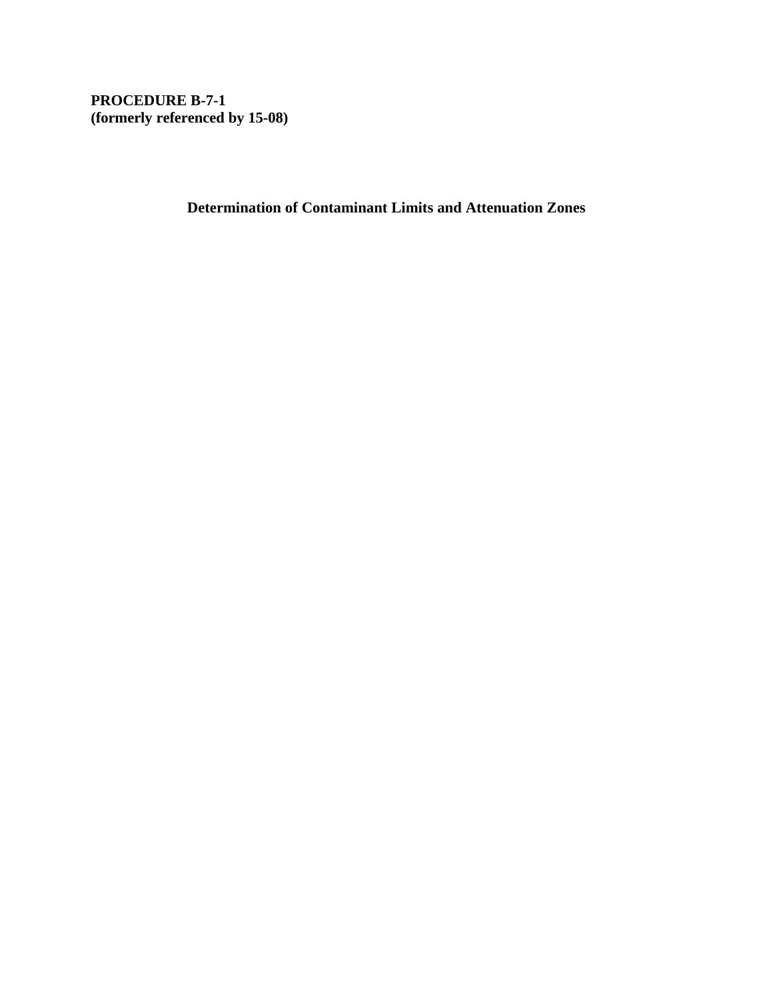**PROCEDURE B-7-1 (formerly referenced by 15-08)** 

**Determination of Contaminant Limits and Attenuation Zones**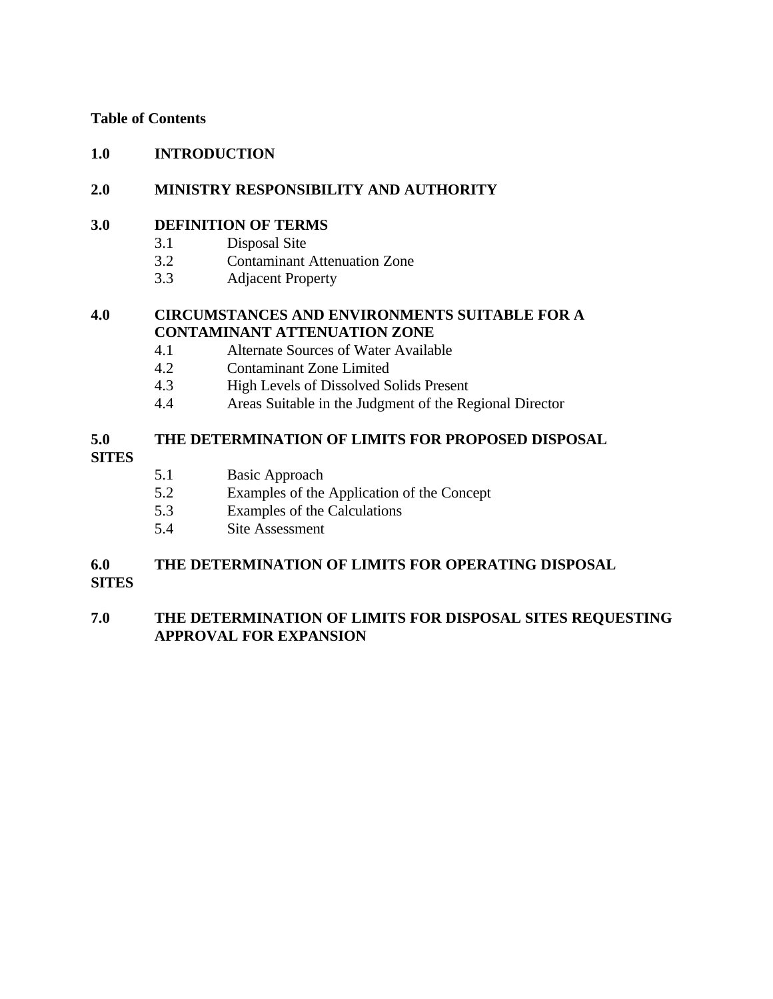## **Table of Contents**

## **1.0 INTRODUCTION**

## **2.0 MINISTRY RESPONSIBILITY AND AUTHORITY**

## **3.0 DEFINITION OF TERMS**

- 3.1 Disposal Site
- 3.2 Contaminant Attenuation Zone
- 3.3 Adjacent Property

## **4.0 CIRCUMSTANCES AND ENVIRONMENTS SUITABLE FOR A CONTAMINANT ATTENUATION ZONE**

- 4.1 Alternate Sources of Water Available
- 4.2 Contaminant Zone Limited
- 4.3 High Levels of Dissolved Solids Present
- 4.4 Areas Suitable in the Judgment of the Regional Director

## **5.0 THE DETERMINATION OF LIMITS FOR PROPOSED DISPOSAL**

## **SITES**

- 5.1 Basic Approach
- 5.2 Examples of the Application of the Concept
- 5.3 Examples of the Calculations
- 5.4 Site Assessment

## **6.0 THE DETERMINATION OF LIMITS FOR OPERATING DISPOSAL**

**SITES**

## **7.0 THE DETERMINATION OF LIMITS FOR DISPOSAL SITES REQUESTING APPROVAL FOR EXPANSION**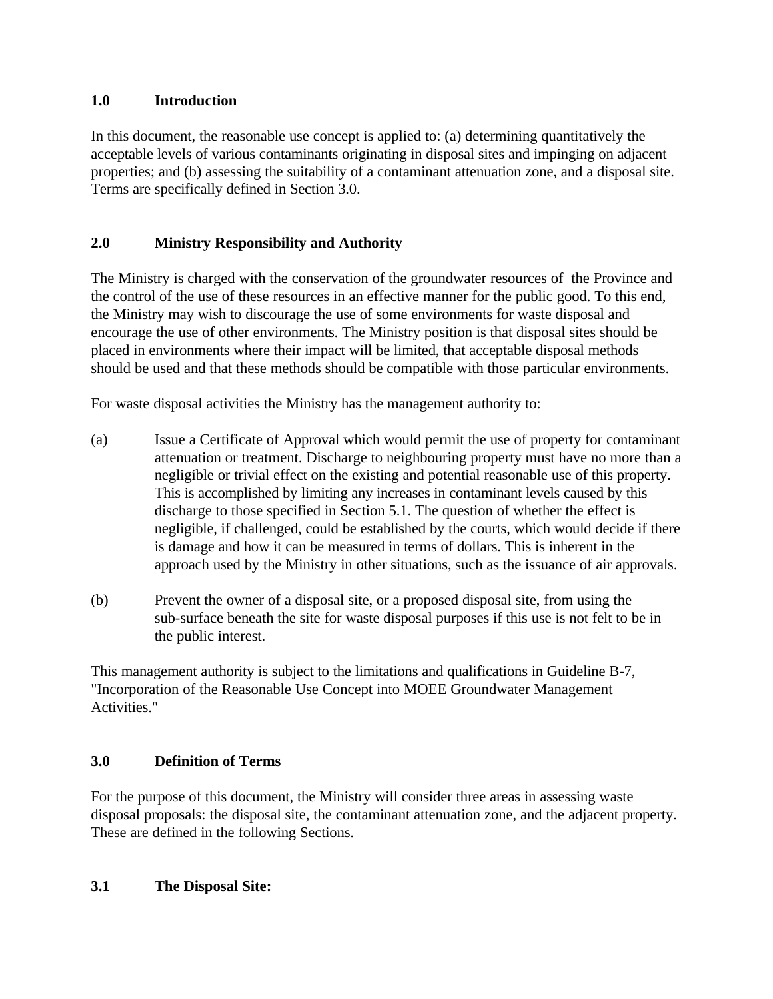## **1.0 Introduction**

In this document, the reasonable use concept is applied to: (a) determining quantitatively the acceptable levels of various contaminants originating in disposal sites and impinging on adjacent properties; and (b) assessing the suitability of a contaminant attenuation zone, and a disposal site. Terms are specifically defined in Section 3.0.

# **2.0 Ministry Responsibility and Authority**

The Ministry is charged with the conservation of the groundwater resources of the Province and the control of the use of these resources in an effective manner for the public good. To this end, the Ministry may wish to discourage the use of some environments for waste disposal and encourage the use of other environments. The Ministry position is that disposal sites should be placed in environments where their impact will be limited, that acceptable disposal methods should be used and that these methods should be compatible with those particular environments.

For waste disposal activities the Ministry has the management authority to:

- (a) Issue a Certificate of Approval which would permit the use of property for contaminant attenuation or treatment. Discharge to neighbouring property must have no more than a negligible or trivial effect on the existing and potential reasonable use of this property. This is accomplished by limiting any increases in contaminant levels caused by this discharge to those specified in Section 5.1. The question of whether the effect is negligible, if challenged, could be established by the courts, which would decide if there is damage and how it can be measured in terms of dollars. This is inherent in the approach used by the Ministry in other situations, such as the issuance of air approvals.
- (b) Prevent the owner of a disposal site, or a proposed disposal site, from using the sub-surface beneath the site for waste disposal purposes if this use is not felt to be in the public interest.

This management authority is subject to the limitations and qualifications in Guideline B-7, "Incorporation of the Reasonable Use Concept into MOEE Groundwater Management Activities."

# **3.0 Definition of Terms**

For the purpose of this document, the Ministry will consider three areas in assessing waste disposal proposals: the disposal site, the contaminant attenuation zone, and the adjacent property. These are defined in the following Sections.

## **3.1 The Disposal Site:**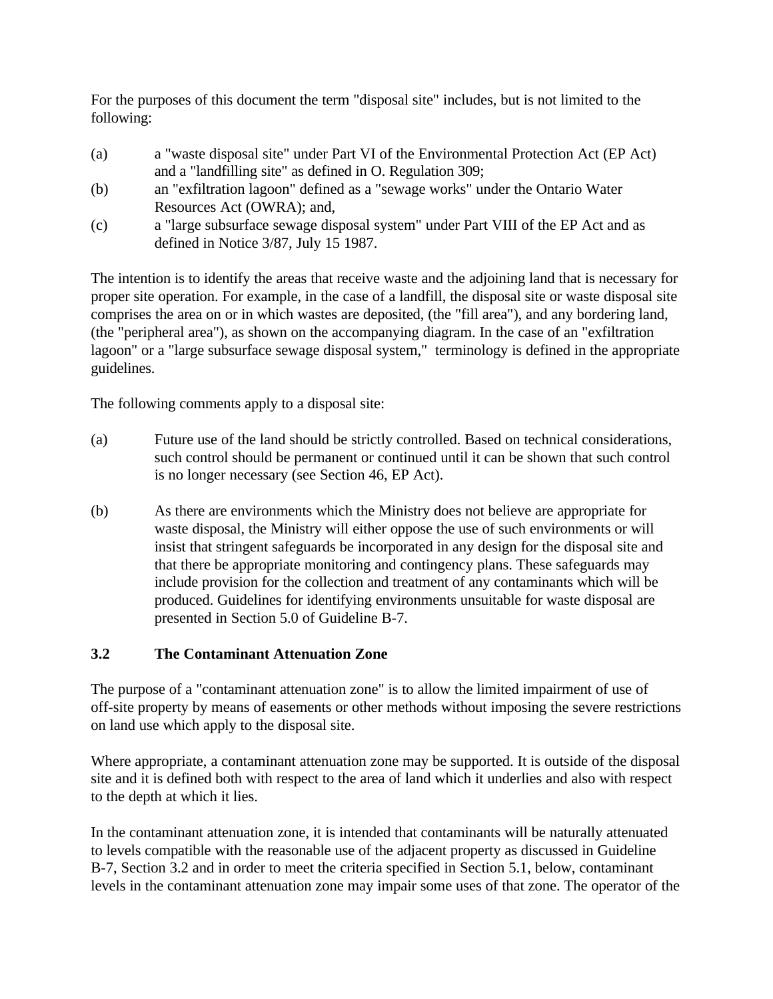For the purposes of this document the term "disposal site" includes, but is not limited to the following:

- (a) a "waste disposal site" under Part VI of the Environmental Protection Act (EP Act) and a "landfilling site" as defined in O. Regulation 309;
- (b) an "exfiltration lagoon" defined as a "sewage works" under the Ontario Water Resources Act (OWRA); and,
- (c) a "large subsurface sewage disposal system" under Part VIII of the EP Act and as defined in Notice 3/87, July 15 1987.

The intention is to identify the areas that receive waste and the adjoining land that is necessary for proper site operation. For example, in the case of a landfill, the disposal site or waste disposal site comprises the area on or in which wastes are deposited, (the "fill area"), and any bordering land, (the "peripheral area"), as shown on the accompanying diagram. In the case of an "exfiltration lagoon" or a "large subsurface sewage disposal system," terminology is defined in the appropriate guidelines.

The following comments apply to a disposal site:

- (a) Future use of the land should be strictly controlled. Based on technical considerations, such control should be permanent or continued until it can be shown that such control is no longer necessary (see Section 46, EP Act).
- (b) As there are environments which the Ministry does not believe are appropriate for waste disposal, the Ministry will either oppose the use of such environments or will insist that stringent safeguards be incorporated in any design for the disposal site and that there be appropriate monitoring and contingency plans. These safeguards may include provision for the collection and treatment of any contaminants which will be produced. Guidelines for identifying environments unsuitable for waste disposal are presented in Section 5.0 of Guideline B-7.

#### **The Contaminant Attenuation Zone 3.2**

The purpose of a "contaminant attenuation zone" is to allow the limited impairment of use of off-site property by means of easements or other methods without imposing the severe restrictions on land use which apply to the disposal site.

Where appropriate, a contaminant attenuation zone may be supported. It is outside of the disposal site and it is defined both with respect to the area of land which it underlies and also with respect to the depth at which it lies.

In the contaminant attenuation zone, it is intended that contaminants will be naturally attenuated to levels compatible with the reasonable use of the adjacent property as discussed in Guideline B-7, Section 3.2 and in order to meet the criteria specified in Section 5.1, below, contaminant levels in the contaminant attenuation zone may impair some uses of that zone. The operator of the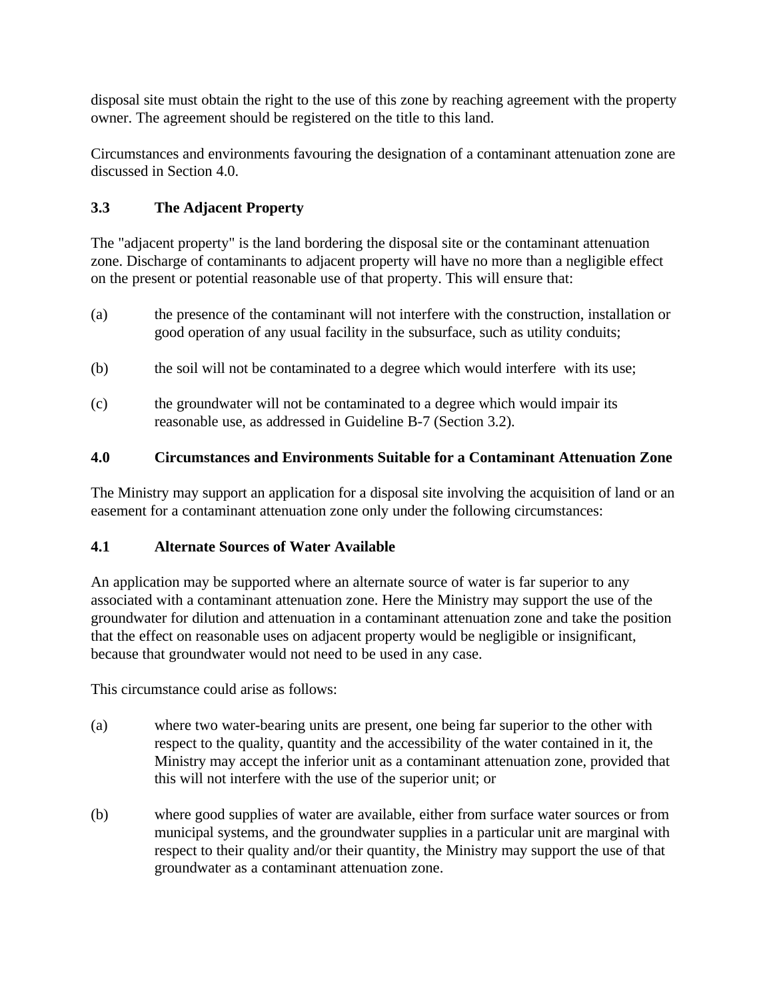disposal site must obtain the right to the use of this zone by reaching agreement with the property owner. The agreement should be registered on the title to this land.

Circumstances and environments favouring the designation of a contaminant attenuation zone are discussed in Section 4.0.

# **3.3 The Adjacent Property**

The "adjacent property" is the land bordering the disposal site or the contaminant attenuation zone. Discharge of contaminants to adjacent property will have no more than a negligible effect on the present or potential reasonable use of that property. This will ensure that:

- (a) the presence of the contaminant will not interfere with the construction, installation or good operation of any usual facility in the subsurface, such as utility conduits;
- (b) the soil will not be contaminated to a degree which would interfere with its use;
- (c) the groundwater will not be contaminated to a degree which would impair its reasonable use, as addressed in Guideline B-7 (Section 3.2).

# **4.0 Circumstances and Environments Suitable for a Contaminant Attenuation Zone**

The Ministry may support an application for a disposal site involving the acquisition of land or an easement for a contaminant attenuation zone only under the following circumstances:

# **4.1 Alternate Sources of Water Available**

An application may be supported where an alternate source of water is far superior to any associated with a contaminant attenuation zone. Here the Ministry may support the use of the groundwater for dilution and attenuation in a contaminant attenuation zone and take the position that the effect on reasonable uses on adjacent property would be negligible or insignificant, because that groundwater would not need to be used in any case.

This circumstance could arise as follows:

- (a) where two water-bearing units are present, one being far superior to the other with respect to the quality, quantity and the accessibility of the water contained in it, the Ministry may accept the inferior unit as a contaminant attenuation zone, provided that this will not interfere with the use of the superior unit; or
- (b) where good supplies of water are available, either from surface water sources or from municipal systems, and the groundwater supplies in a particular unit are marginal with respect to their quality and/or their quantity, the Ministry may support the use of that groundwater as a contaminant attenuation zone.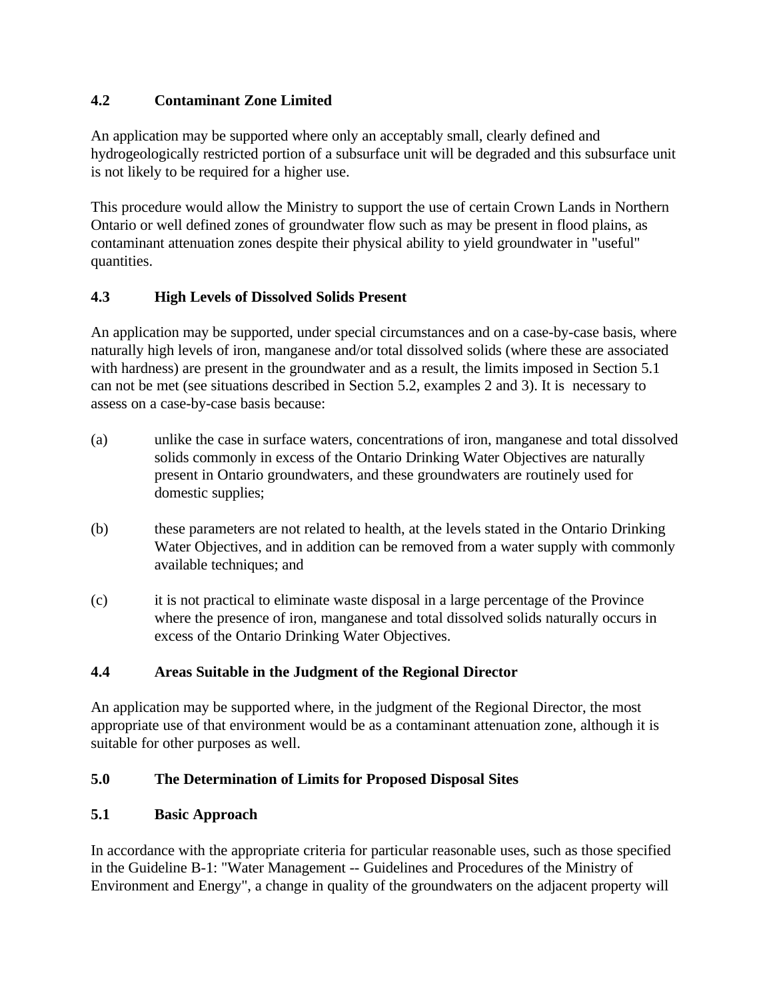# **4.2 Contaminant Zone Limited**

An application may be supported where only an acceptably small, clearly defined and hydrogeologically restricted portion of a subsurface unit will be degraded and this subsurface unit is not likely to be required for a higher use.

This procedure would allow the Ministry to support the use of certain Crown Lands in Northern Ontario or well defined zones of groundwater flow such as may be present in flood plains, as contaminant attenuation zones despite their physical ability to yield groundwater in "useful" quantities.

## **4.3 High Levels of Dissolved Solids Present**

An application may be supported, under special circumstances and on a case-by-case basis, where naturally high levels of iron, manganese and/or total dissolved solids (where these are associated with hardness) are present in the groundwater and as a result, the limits imposed in Section 5.1 can not be met (see situations described in Section 5.2, examples 2 and 3). It is necessary to assess on a case-by-case basis because:

- (a) unlike the case in surface waters, concentrations of iron, manganese and total dissolved solids commonly in excess of the Ontario Drinking Water Objectives are naturally present in Ontario groundwaters, and these groundwaters are routinely used for domestic supplies;
- (b) these parameters are not related to health, at the levels stated in the Ontario Drinking Water Objectives, and in addition can be removed from a water supply with commonly available techniques; and
- (c) it is not practical to eliminate waste disposal in a large percentage of the Province where the presence of iron, manganese and total dissolved solids naturally occurs in excess of the Ontario Drinking Water Objectives.

## **4.4 Areas Suitable in the Judgment of the Regional Director**

An application may be supported where, in the judgment of the Regional Director, the most appropriate use of that environment would be as a contaminant attenuation zone, although it is suitable for other purposes as well.

## **5.0 The Determination of Limits for Proposed Disposal Sites**

## **5.1 Basic Approach**

In accordance with the appropriate criteria for particular reasonable uses, such as those specified in the Guideline B-1: "Water Management -- Guidelines and Procedures of the Ministry of Environment and Energy", a change in quality of the groundwaters on the adjacent property will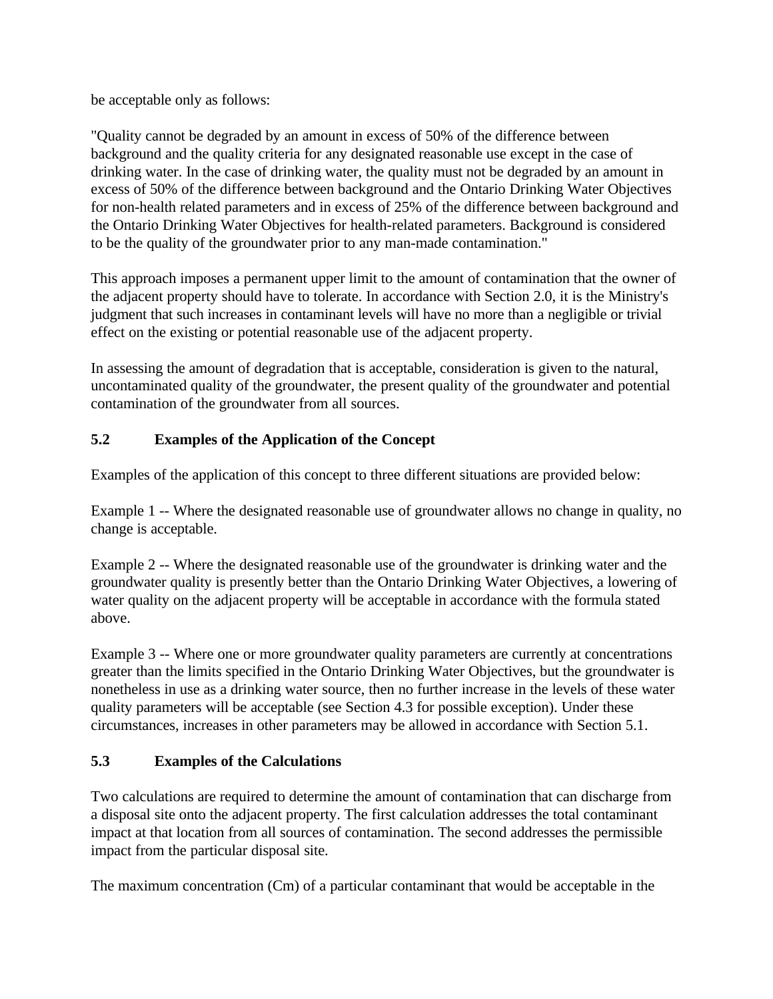be acceptable only as follows:

"Quality cannot be degraded by an amount in excess of 50% of the difference between background and the quality criteria for any designated reasonable use except in the case of drinking water. In the case of drinking water, the quality must not be degraded by an amount in excess of 50% of the difference between background and the Ontario Drinking Water Objectives for non-health related parameters and in excess of 25% of the difference between background and the Ontario Drinking Water Objectives for health-related parameters. Background is considered to be the quality of the groundwater prior to any man-made contamination."

This approach imposes a permanent upper limit to the amount of contamination that the owner of the adjacent property should have to tolerate. In accordance with Section 2.0, it is the Ministry's judgment that such increases in contaminant levels will have no more than a negligible or trivial effect on the existing or potential reasonable use of the adjacent property.

In assessing the amount of degradation that is acceptable, consideration is given to the natural, uncontaminated quality of the groundwater, the present quality of the groundwater and potential contamination of the groundwater from all sources.

# **5.2 Examples of the Application of the Concept**

Examples of the application of this concept to three different situations are provided below:

Example 1 -- Where the designated reasonable use of groundwater allows no change in quality, no change is acceptable.

Example 2 -- Where the designated reasonable use of the groundwater is drinking water and the groundwater quality is presently better than the Ontario Drinking Water Objectives, a lowering of water quality on the adjacent property will be acceptable in accordance with the formula stated above.

Example 3 -- Where one or more groundwater quality parameters are currently at concentrations greater than the limits specified in the Ontario Drinking Water Objectives, but the groundwater is nonetheless in use as a drinking water source, then no further increase in the levels of these water quality parameters will be acceptable (see Section 4.3 for possible exception). Under these circumstances, increases in other parameters may be allowed in accordance with Section 5.1.

# **5.3 Examples of the Calculations**

Two calculations are required to determine the amount of contamination that can discharge from a disposal site onto the adjacent property. The first calculation addresses the total contaminant impact at that location from all sources of contamination. The second addresses the permissible impact from the particular disposal site.

The maximum concentration (Cm) of a particular contaminant that would be acceptable in the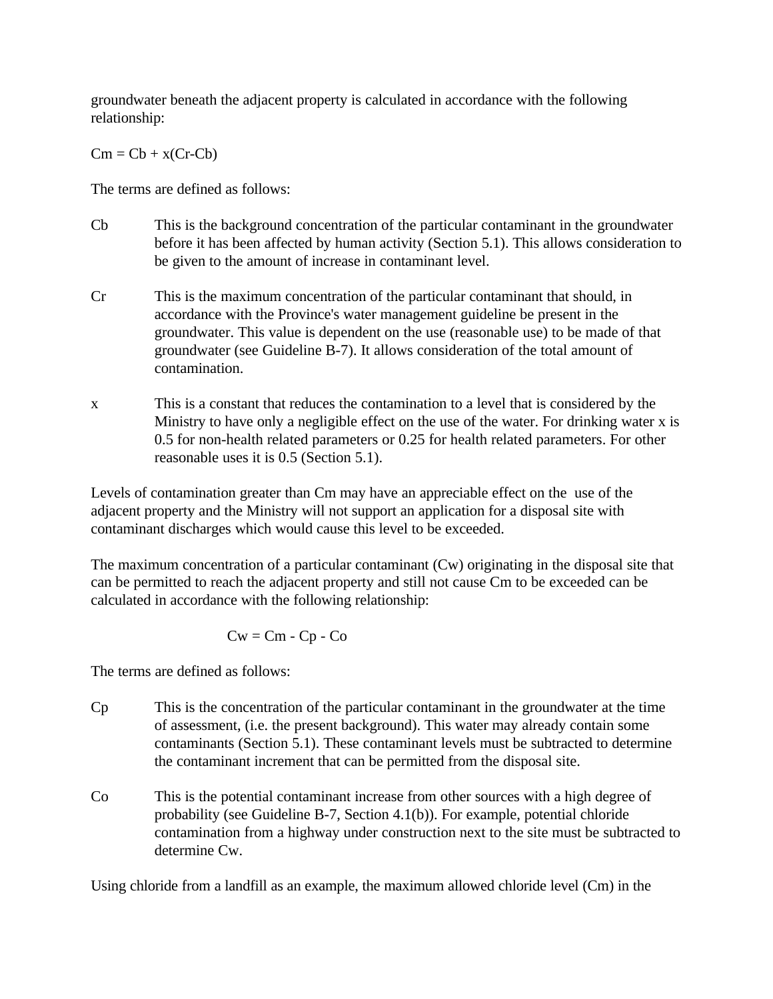groundwater beneath the adjacent property is calculated in accordance with the following relationship:

 $Cm = Cb + x(Cr-Cb)$ 

The terms are defined as follows:

- Cb This is the background concentration of the particular contaminant in the groundwater before it has been affected by human activity (Section 5.1). This allows consideration to be given to the amount of increase in contaminant level.
- Cr This is the maximum concentration of the particular contaminant that should, in accordance with the Province's water management guideline be present in the groundwater. This value is dependent on the use (reasonable use) to be made of that groundwater (see Guideline B-7). It allows consideration of the total amount of contamination.
- This is a constant that reduces the contamination to a level that is considered by the Ministry to have only a negligible effect on the use of the water. For drinking water x is 0.5 for non-health related parameters or 0.25 for health related parameters. For other reasonable uses it is 0.5 (Section 5.1). x

Levels of contamination greater than Cm may have an appreciable effect on the use of the adjacent property and the Ministry will not support an application for a disposal site with contaminant discharges which would cause this level to be exceeded.

The maximum concentration of a particular contaminant (Cw) originating in the disposal site that can be permitted to reach the adjacent property and still not cause Cm to be exceeded can be calculated in accordance with the following relationship:

$$
Cw = Cm - Cp - Co
$$

The terms are defined as follows:

- Cp This is the concentration of the particular contaminant in the groundwater at the time of assessment, (i.e. the present background). This water may already contain some contaminants (Section 5.1). These contaminant levels must be subtracted to determine the contaminant increment that can be permitted from the disposal site.
- Co This is the potential contaminant increase from other sources with a high degree of probability (see Guideline B-7, Section 4.1(b)). For example, potential chloride contamination from a highway under construction next to the site must be subtracted to determine Cw.

Using chloride from a landfill as an example, the maximum allowed chloride level (Cm) in the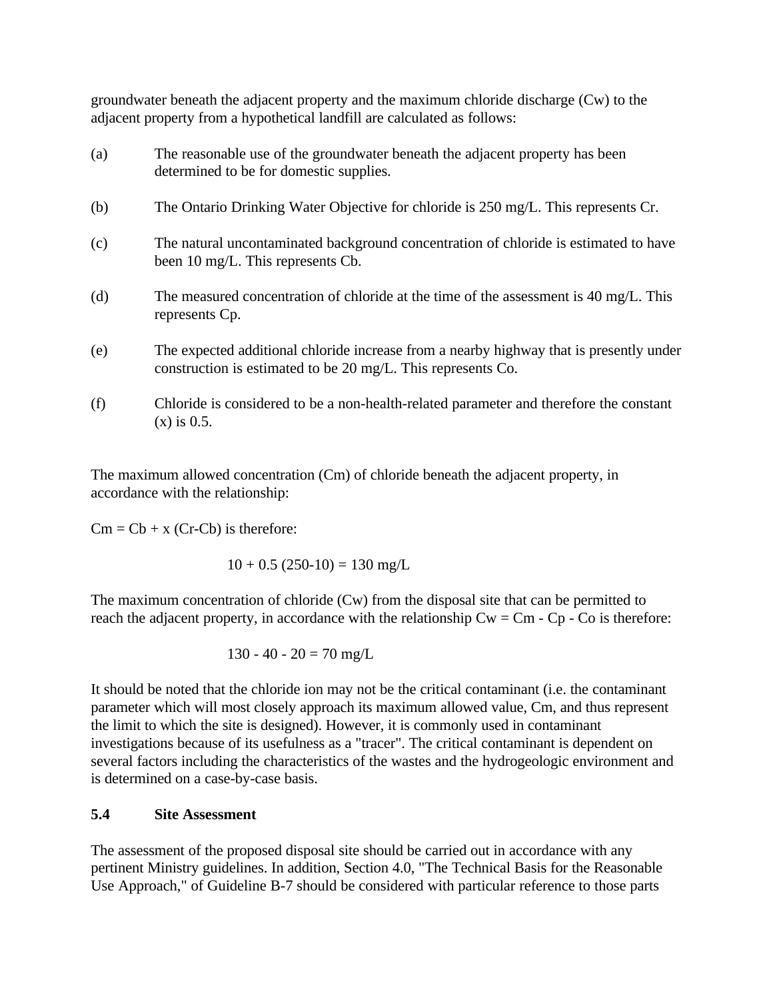groundwater beneath the adjacent property and the maximum chloride discharge (Cw) to the adjacent property from a hypothetical landfill are calculated as follows:

- (a) The reasonable use of the groundwater beneath the adjacent property has been determined to be for domestic supplies.
- (b) The Ontario Drinking Water Objective for chloride is 250 mg/L. This represents Cr.
- (c) The natural uncontaminated background concentration of chloride is estimated to have been 10 mg/L. This represents Cb.
- (d) The measured concentration of chloride at the time of the assessment is 40 mg/L. This represents Cp.
- (e) The expected additional chloride increase from a nearby highway that is presently under construction is estimated to be 20 mg/L. This represents Co.
- (f) Chloride is considered to be a non-health-related parameter and therefore the constant (x) is 0.5.

The maximum allowed concentration (Cm) of chloride beneath the adjacent property, in accordance with the relationship:

 $Cm = Cb + x$  (Cr-Cb) is therefore:

 $10 + 0.5$  (250-10) = 130 mg/L

The maximum concentration of chloride (Cw) from the disposal site that can be permitted to reach the adjacent property, in accordance with the relationship  $Cw = Cm - Cp - Co$  is therefore:

$$
130 - 40 - 20 = 70 \text{ mg/L}
$$

It should be noted that the chloride ion may not be the critical contaminant (i.e. the contaminant parameter which will most closely approach its maximum allowed value, Cm, and thus represent the limit to which the site is designed). However, it is commonly used in contaminant investigations because of its usefulness as a "tracer". The critical contaminant is dependent on several factors including the characteristics of the wastes and the hydrogeologic environment and is determined on a case-by-case basis.

## **5.4 Site Assessment**

The assessment of the proposed disposal site should be carried out in accordance with any pertinent Ministry guidelines. In addition, Section 4.0, "The Technical Basis for the Reasonable Use Approach," of Guideline B-7 should be considered with particular reference to those parts